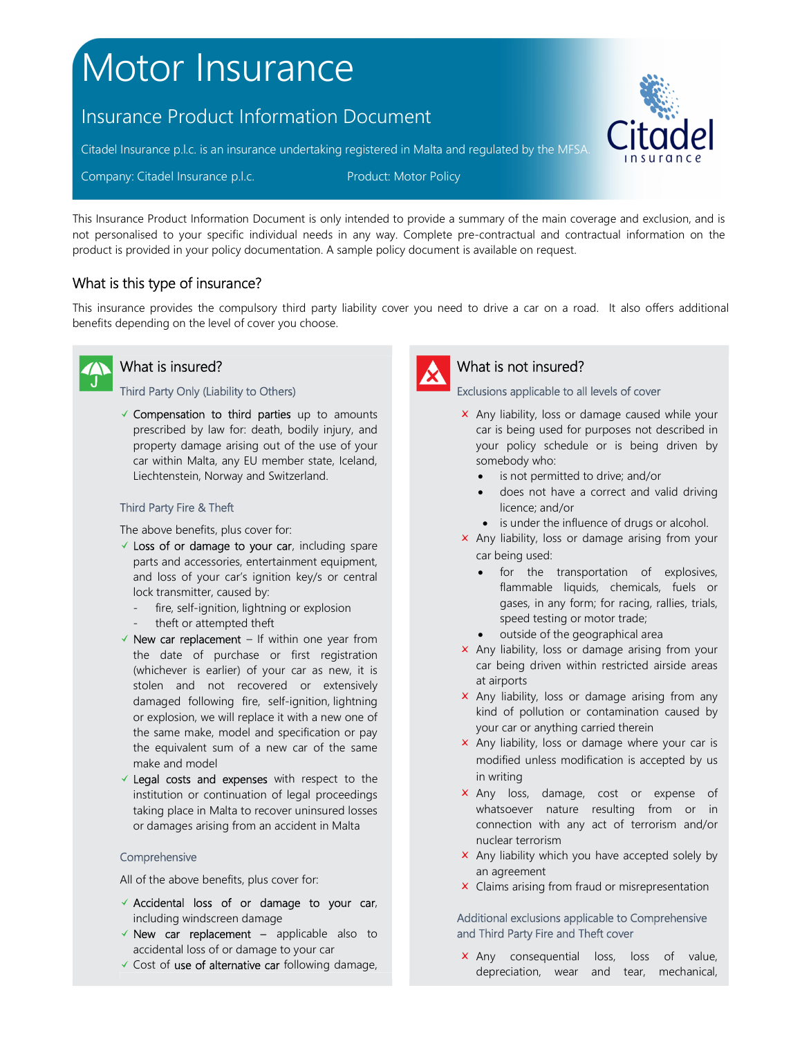# Motor Insurance

## Insurance Product Information Document

Citadel Insurance p.l.c. is an insurance undertaking registered in Malta and regulated by the MFSA.

Company: Citadel Insurance p.l.c. Product: Motor Policy

This Insurance Product Information Document is only intended to provide a summary of the main coverage and exclusion, and is not personalised to your specific individual needs in any way. Complete pre-contractual and contractual information on the product is provided in your policy documentation. A sample policy document is available on request.

## What is this type of insurance?

This insurance provides the compulsory third party liability cover you need to drive a car on a road. It also offers additional benefits depending on the level of cover you choose.



## What is insured?

#### Third Party Only (Liability to Others)

 $\checkmark$  Compensation to third parties up to amounts prescribed by law for: death, bodily injury, and property damage arising out of the use of your car within Malta, any EU member state, Iceland, Liechtenstein, Norway and Switzerland.

#### Third Party Fire & Theft

The above benefits, plus cover for:

- $\checkmark$  Loss of or damage to your car, including spare parts and accessories, entertainment equipment, and loss of your car's ignition key/s or central lock transmitter, caused by:
	- fire, self-ignition, lightning or explosion
	- theft or attempted theft
- $\checkmark$  New car replacement If within one year from the date of purchase or first registration (whichever is earlier) of your car as new, it is stolen and not recovered or extensively damaged following fire, self-ignition, lightning or explosion, we will replace it with a new one of the same make, model and specification or pay the equivalent sum of a new car of the same make and model
- $\checkmark$  Legal costs and expenses with respect to the institution or continuation of legal proceedings taking place in Malta to recover uninsured losses or damages arising from an accident in Malta

#### Comprehensive

All of the above benefits, plus cover for:

- $\checkmark$  Accidental loss of or damage to your car, including windscreen damage
- $\checkmark$  New car replacement applicable also to accidental loss of or damage to your car
- $\checkmark$  Cost of use of alternative car following damage,



## What is not insured?

#### Exclusions applicable to all levels of cover

- $\times$  Any liability, loss or damage caused while your car is being used for purposes not described in your policy schedule or is being driven by somebody who:
	- is not permitted to drive; and/or
	- does not have a correct and valid driving licence; and/or
	- is under the influence of drugs or alcohol.
- Any liability, loss or damage arising from your car being used:
	- for the transportation of explosives, flammable liquids, chemicals, fuels or gases, in any form; for racing, rallies, trials, speed testing or motor trade;
	- outside of the geographical area
- $\times$  Any liability, loss or damage arising from your car being driven within restricted airside areas at airports
- $\times$  Any liability, loss or damage arising from any kind of pollution or contamination caused by your car or anything carried therein
- $\times$  Any liability, loss or damage where your car is modified unless modification is accepted by us in writing
- x Any loss, damage, cost or expense of whatsoever nature resulting from or in connection with any act of terrorism and/or nuclear terrorism
- $\times$  Any liability which you have accepted solely by an agreement
- **x** Claims arising from fraud or misrepresentation

#### Additional exclusions applicable to Comprehensive and Third Party Fire and Theft cover

**x** Any consequential loss, loss of value, depreciation, wear and tear, mechanical,